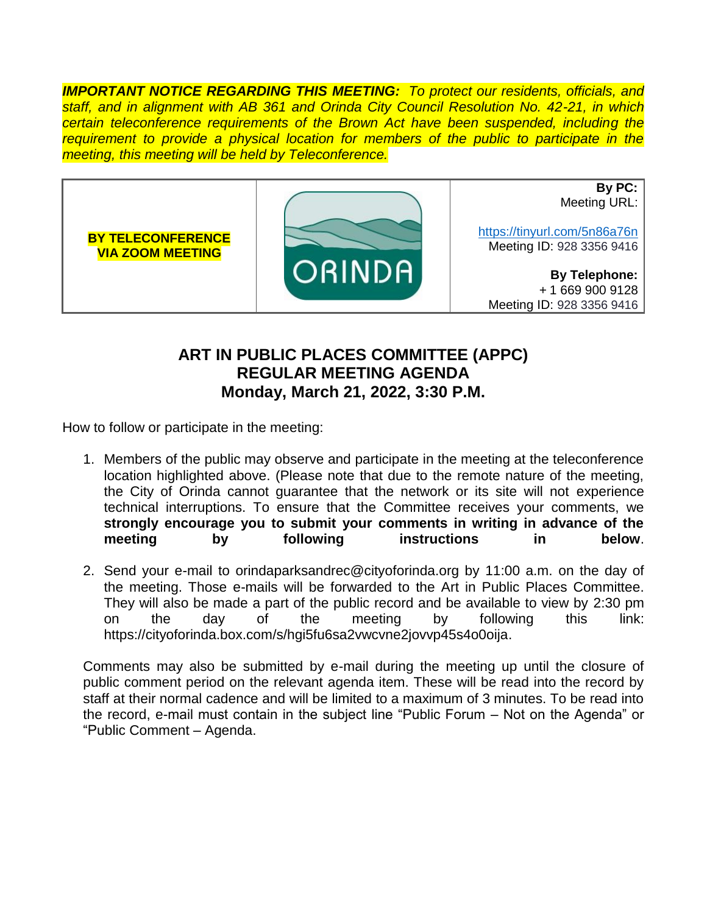*IMPORTANT NOTICE REGARDING THIS MEETING: To protect our residents, officials, and staff, and in alignment with AB 361 and Orinda City Council Resolution No. 42-21, in which certain teleconference requirements of the Brown Act have been suspended, including the requirement to provide a physical location for members of the public to participate in the meeting, this meeting will be held by Teleconference.*



## **ART IN PUBLIC PLACES COMMITTEE (APPC) REGULAR MEETING AGENDA Monday, March 21, 2022, 3:30 P.M.**

How to follow or participate in the meeting:

- 1. Members of the public may observe and participate in the meeting at the teleconference location highlighted above. (Please note that due to the remote nature of the meeting, the City of Orinda cannot guarantee that the network or its site will not experience technical interruptions. To ensure that the Committee receives your comments, we **strongly encourage you to submit your comments in writing in advance of the meeting by following instructions in below**.
- 2. Send your e-mail to orindaparksandrec@cityoforinda.org by 11:00 a.m. on the day of the meeting. Those e-mails will be forwarded to the Art in Public Places Committee. They will also be made a part of the public record and be available to view by 2:30 pm on the day of the meeting by following this link: https://cityoforinda.box.com/s/hgi5fu6sa2vwcvne2jovvp45s4o0oija.

Comments may also be submitted by e-mail during the meeting up until the closure of public comment period on the relevant agenda item. These will be read into the record by staff at their normal cadence and will be limited to a maximum of 3 minutes. To be read into the record, e-mail must contain in the subject line "Public Forum – Not on the Agenda" or "Public Comment – Agenda.